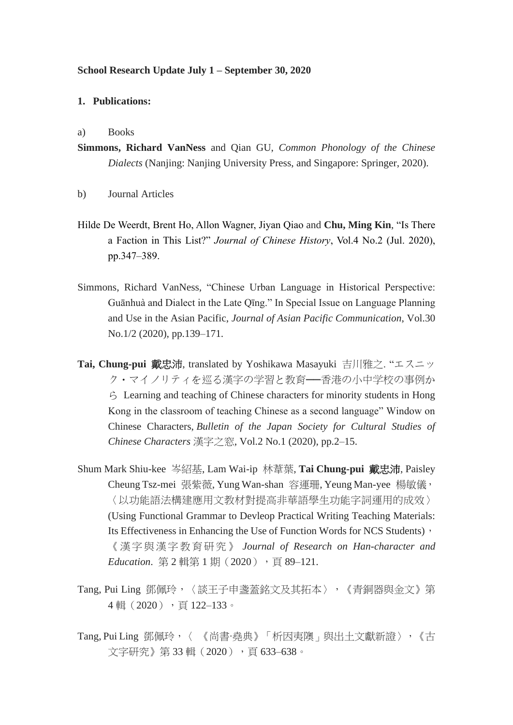### **School Research Update July 1 – September 30, 2020**

#### **1. Publications:**

#### a) Books

- **Simmons, Richard VanNess** and Qian GU, *Common Phonology of the Chinese Dialects* (Nanjing: Nanjing University Press, and Singapore: Springer, 2020).
- b) Journal Articles
- Hilde De Weerdt, Brent Ho, Allon Wagner, Jiyan Qiao and **Chu, Ming Kin**, "Is There a Faction in This List?" *Journal of Chinese History*, Vol.4 No.2 (Jul. 2020), pp.347–389.
- Simmons, Richard VanNess, "Chinese Urban Language in Historical Perspective: Guānhuà and Dialect in the Late Qīng." In Special Issue on Language Planning and Use in the Asian Pacific, *Journal of Asian Pacific Communication*, Vol.30 No.1/2 (2020), pp.139–171.
- **Tai, Chung-pui** 戴忠沛, translated by Yoshikawa Masayuki 吉川雅之. "エスニッ ク・マイノリティを巡る漢字の学習と教育──香港の小中学校の事例か  $\hat{\zeta}$  Learning and teaching of Chinese characters for minority students in Hong Kong in the classroom of teaching Chinese as a second language" Window on Chinese Characters, *Bulletin of the Japan Society for Cultural Studies of Chinese Characters* 漢字之窓, Vol.2 No.1 (2020), pp.2–15.
- Shum Mark Shiu-kee 岑紹基, Lam Wai-ip 林葦葉, **Tai Chung-pui** 戴忠沛, Paisley Cheung Tsz-mei 張紫薇, Yung Wan-shan 容運珊, Yeung Man-yee 楊敏儀, 〈以功能語法構建應用文教材對提高非華語學生功能字詞運用的成效〉 (Using Functional Grammar to Devleop Practical Writing Teaching Materials: Its Effectiveness in Enhancing the Use of Function Words for NCS Students), 《漢字與漢字教育研究》 *Journal of Research on Han-character and Education*. 第2輯第1期 (2020), 頁 89-121.
- Tang, Pui Ling 鄧佩玲,〈談王子申盞蓋銘文及其拓本〉,《青銅器與金文》第 4輯(2020),頁 122–133。
- Tang, Pui Ling 鄧佩玲,〈《尚書·堯典》「析因夷隩」與出土文獻新證〉,《古 文字研究》第33輯(2020),頁633-638。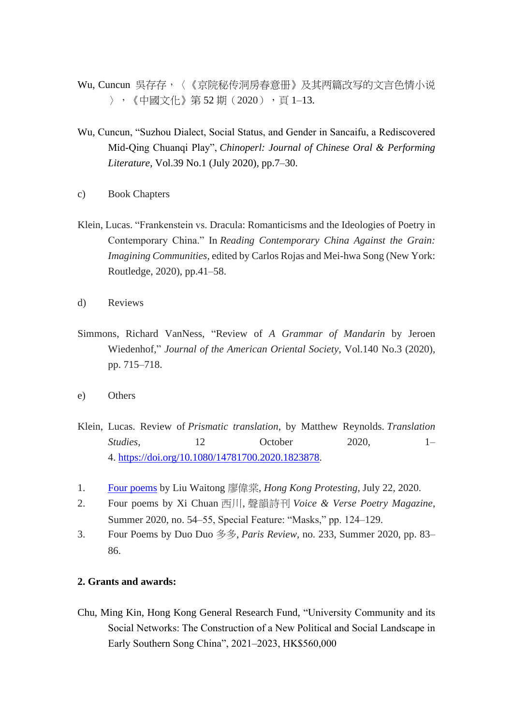- Wu, Cuncun 吳存存, 〈《京院秘传洞房春意册》及其两篇改写的文言色情小说 〉,《中國文化》第 52 期(2020),頁 1–13.
- Wu, Cuncun, "Suzhou Dialect, Social Status, and Gender in Sancaifu, a Rediscovered Mid-Qing Chuanqi Play", *Chinoperl: Journal of Chinese Oral & Performing Literature*, Vol.39 No.1 (July 2020), pp.7–30.
- c) Book Chapters
- Klein, Lucas. "Frankenstein vs. Dracula: Romanticisms and the Ideologies of Poetry in Contemporary China." In *Reading Contemporary China Against the Grain: Imagining Communities*, edited by Carlos Rojas and Mei-hwa Song (New York: Routledge, 2020), pp.41–58.
- d) Reviews
- Simmons, Richard VanNess, "Review of *A Grammar of Mandarin* by Jeroen Wiedenhof," *Journal of the American Oriental Society*, Vol.140 No.3 (2020), pp. 715–718.
- e) Others
- Klein, Lucas. Review of *Prismatic translation*, by Matthew Reynolds. *Translation Studies*, 12 October 2020, 1– 4. [https://doi.org/10.1080/14781700.2020.1823878.](https://doi.org/10.1080/14781700.2020.1823878)
- 1. [Four poems](https://hkprotesting.com/2020/07/22/poems-liu-waitong/) by Liu Waitong 廖偉棠, *Hong Kong Protesting*, July 22, 2020.
- 2. Four poems by Xi Chuan 西川, 聲韻詩刊 *Voice & Verse Poetry Magazine*, Summer 2020, no. 54–55, Special Feature: "Masks," pp. 124–129.
- 3. Four Poems by Duo Duo 多多, *Paris Review*, no. 233, Summer 2020, pp. 83– 86.

# **2. Grants and awards:**

Chu, Ming Kin, Hong Kong General Research Fund, "University Community and its Social Networks: The Construction of a New Political and Social Landscape in Early Southern Song China", 2021–2023, HK\$560,000